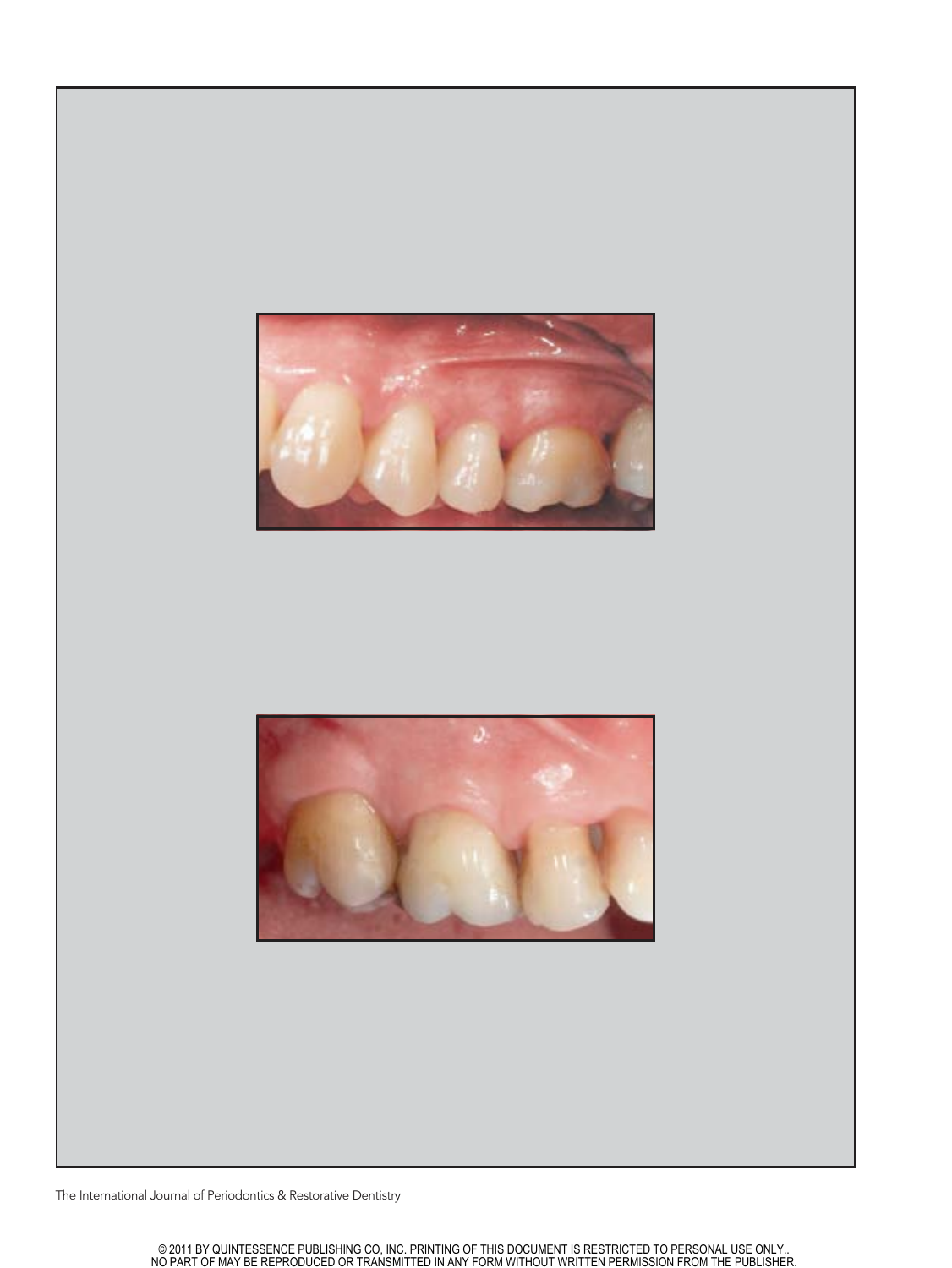



The International Journal of Periodontics & Restorative Dentistry

© 2011 BY QUINTESSENCE PUBLISHING CO, INC. PRINTING OF THIS DOCUMENT IS RESTRICTED TO PERSONAL USE ONLY.. NO PART OF MAY BE REPRODUCED OR TRANSMITTED IN ANY FORM WITHOUT WRITTEN PERMISSION FROM THE PUBLISHER.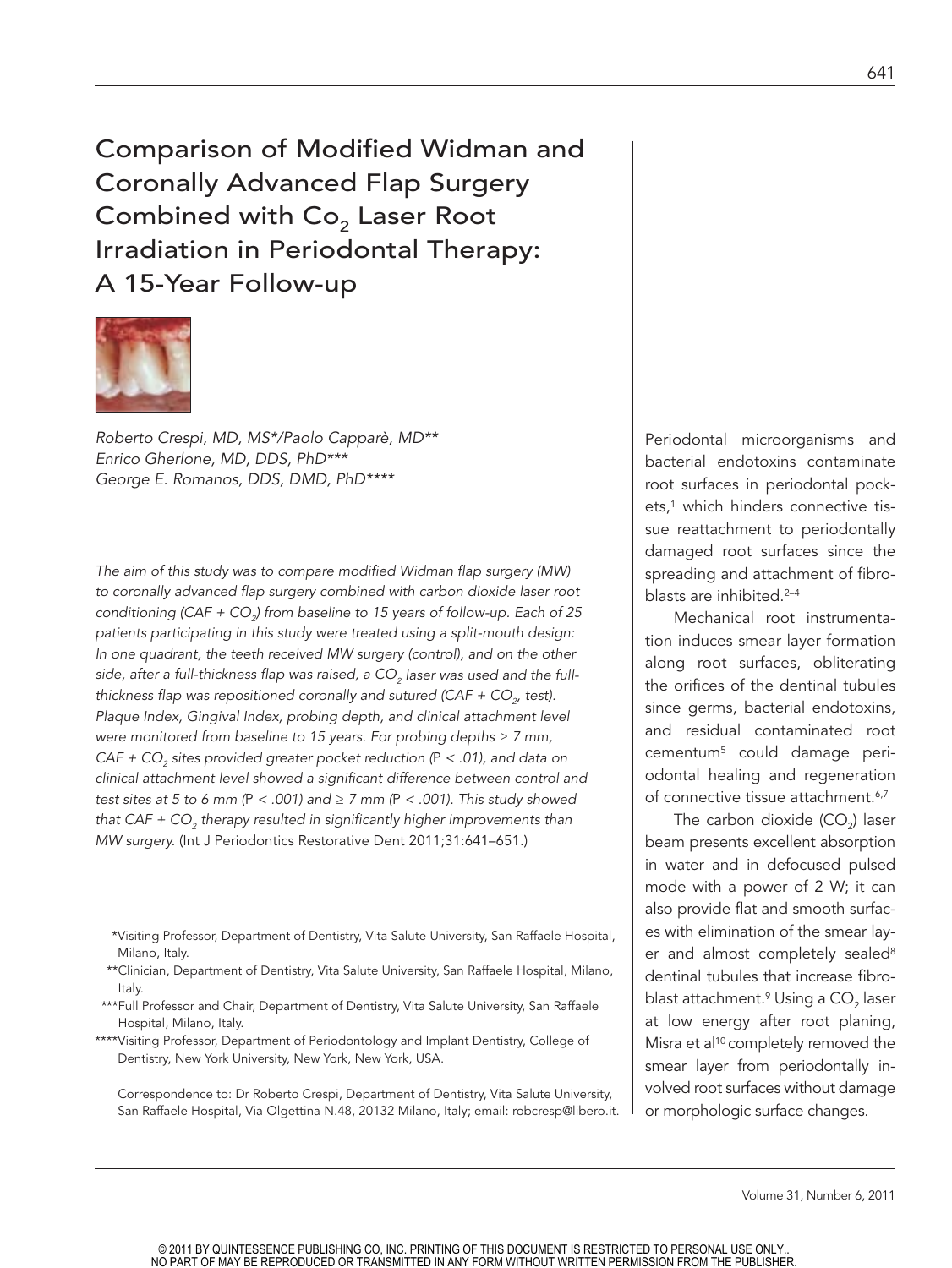Comparison of Modified Widman and Coronally Advanced Flap Surgery Combined with Co<sub>2</sub> Laser Root Irradiation in Periodontal Therapy: A 15-Year Follow-up



*Roberto Crespi, MD, MS\*/Paolo Capparè, MD\*\* Enrico Gherlone, MD, DDS, PhD\*\*\* George E. Romanos, DDS, DMD, PhD\*\*\*\**

*The aim of this study was to compare modified Widman flap surgery (MW) to coronally advanced flap surgery combined with carbon dioxide laser root conditioning (CAF + CO<sub>2</sub>) from baseline to 15 years of follow-up. Each of 25 patients participating in this study were treated using a split-mouth design:*  In one quadrant, the teeth received MW surgery (control), and on the other side, after a full-thickness flap was raised, a CO<sub>2</sub> laser was used and the full*thickness flap was repositioned coronally and sutured (CAF + CO<sub>2</sub>, test). Plaque Index, Gingival Index, probing depth, and clinical attachment level were monitored from baseline to 15 years. For probing depths ≥ 7 mm, CAF + CO<sub>2</sub> sites provided greater pocket reduction (P < .01), and data on clinical attachment level showed a significant difference between control and test sites at 5 to 6 mm (*P *< .001) and ≥ 7 mm (*P *< .001). This study showed that CAF + CO<sub>2</sub> therapy resulted in significantly higher improvements than MW surgery.* (Int J Periodontics Restorative Dent 2011;31:641–651.)

 \*Visiting Professor, Department of Dentistry, Vita Salute University, San Raffaele Hospital, Milano, Italy.

 \*\*Clinician, Department of Dentistry, Vita Salute University, San Raffaele Hospital, Milano, Italy.

\*\*\*Full Professor and Chair, Department of Dentistry, Vita Salute University, San Raffaele Hospital, Milano, Italy.

\*\*\*\*Visiting Professor, Department of Periodontology and Implant Dentistry, College of Dentistry, New York University, New York, New York, USA.

Correspondence to: Dr Roberto Crespi, Department of Dentistry, Vita Salute University, San Raffaele Hospital, Via Olgettina N.48, 20132 Milano, Italy; email: robcresp@libero.it.

Periodontal microorganisms and bacterial endotoxins contaminate root surfaces in periodontal pockets,<sup>1</sup> which hinders connective tissue reattachment to periodontally damaged root surfaces since the spreading and attachment of fibroblasts are inhibited.<sup>2-4</sup>

Mechanical root instrumentation induces smear layer formation along root surfaces, obliterating the orifices of the dentinal tubules since germs, bacterial endotoxins, and residual contaminated root cementum5 could damage periodontal healing and regeneration of connective tissue attachment.<sup>6,7</sup>

The carbon dioxide  $(CO<sub>2</sub>)$  laser beam presents excellent absorption in water and in defocused pulsed mode with a power of 2 W; it can also provide flat and smooth surfaces with elimination of the smear layer and almost completely sealed<sup>8</sup> dentinal tubules that increase fibroblast attachment.<sup>9</sup> Using a CO<sub>2</sub> laser at low energy after root planing, Misra et al<sup>10</sup> completely removed the smear layer from periodontally involved root surfaces without damage or morphologic surface changes.

Volume 31, Number 6, 2011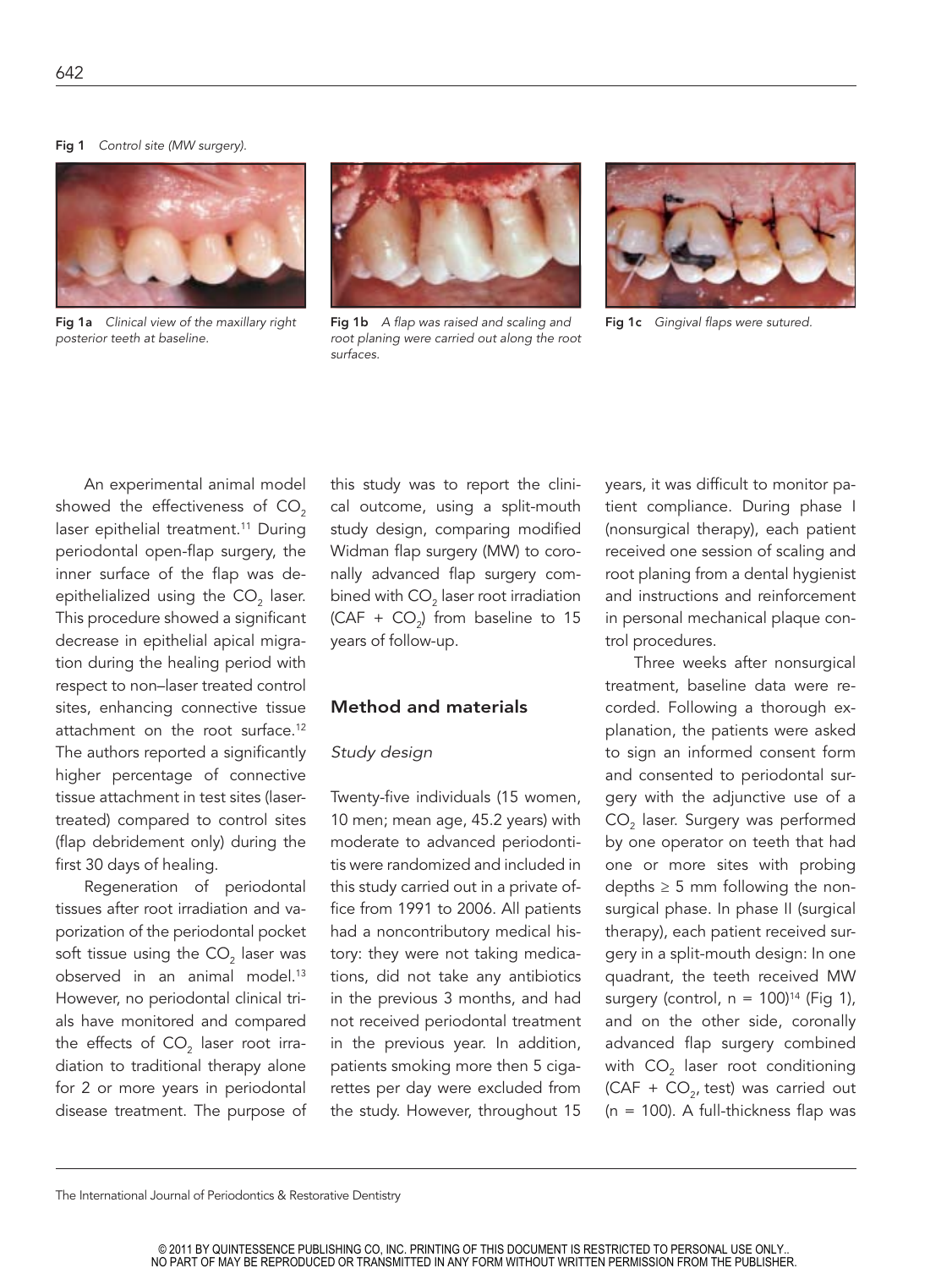#### Fig 1 *Control site (MW surgery).*



Fig 1a *Clinical view of the maxillary right posterior teeth at baseline.* 



Fig 1b *A flap was raised and scaling and root planing were carried out along the root surfaces.*



Fig 1c *Gingival flaps were sutured.* 

An experimental animal model showed the effectiveness of  $CO<sub>2</sub>$ laser epithelial treatment.<sup>11</sup> During periodontal open-flap surgery, the inner surface of the flap was deepithelialized using the  $CO<sub>2</sub>$  laser. This procedure showed a significant decrease in epithelial apical migration during the healing period with respect to non–laser treated control sites, enhancing connective tissue attachment on the root surface.<sup>12</sup> The authors reported a significantly higher percentage of connective tissue attachment in test sites (lasertreated) compared to control sites (flap debridement only) during the first 30 days of healing.

Regeneration of periodontal tissues after root irradiation and vaporization of the periodontal pocket soft tissue using the CO<sub>2</sub> laser was observed in an animal model.13 However, no periodontal clinical trials have monitored and compared the effects of  $CO<sub>2</sub>$  laser root irradiation to traditional therapy alone for 2 or more years in periodontal disease treatment. The purpose of

this study was to report the clinical outcome, using a split-mouth study design, comparing modified Widman flap surgery (MW) to coronally advanced flap surgery combined with CO<sub>2</sub> laser root irradiation (CAF + CO<sub>2</sub>) from baseline to 15 years of follow-up.

#### Method and materials

#### *Study design*

Twenty-five individuals (15 women, 10 men; mean age, 45.2 years) with moderate to advanced periodontitis were randomized and included in this study carried out in a private office from 1991 to 2006. All patients had a noncontributory medical history: they were not taking medications, did not take any antibiotics in the previous 3 months, and had not received periodontal treatment in the previous year. In addition, patients smoking more then 5 cigarettes per day were excluded from the study. However, throughout 15

years, it was difficult to monitor patient compliance. During phase I (nonsurgical therapy), each patient received one session of scaling and root planing from a dental hygienist and instructions and reinforcement in personal mechanical plaque control procedures.

Three weeks after nonsurgical treatment, baseline data were recorded. Following a thorough explanation, the patients were asked to sign an informed consent form and consented to periodontal surgery with the adjunctive use of a CO<sub>2</sub> laser. Surgery was performed by one operator on teeth that had one or more sites with probing depths  $\geq$  5 mm following the nonsurgical phase. In phase II (surgical therapy), each patient received surgery in a split-mouth design: In one quadrant, the teeth received MW surgery (control,  $n = 100$ )<sup>14</sup> (Fig 1), and on the other side, coronally advanced flap surgery combined with  $CO<sub>2</sub>$  laser root conditioning (CAF +  $CO<sub>2</sub>$ , test) was carried out  $(n = 100)$ . A full-thickness flap was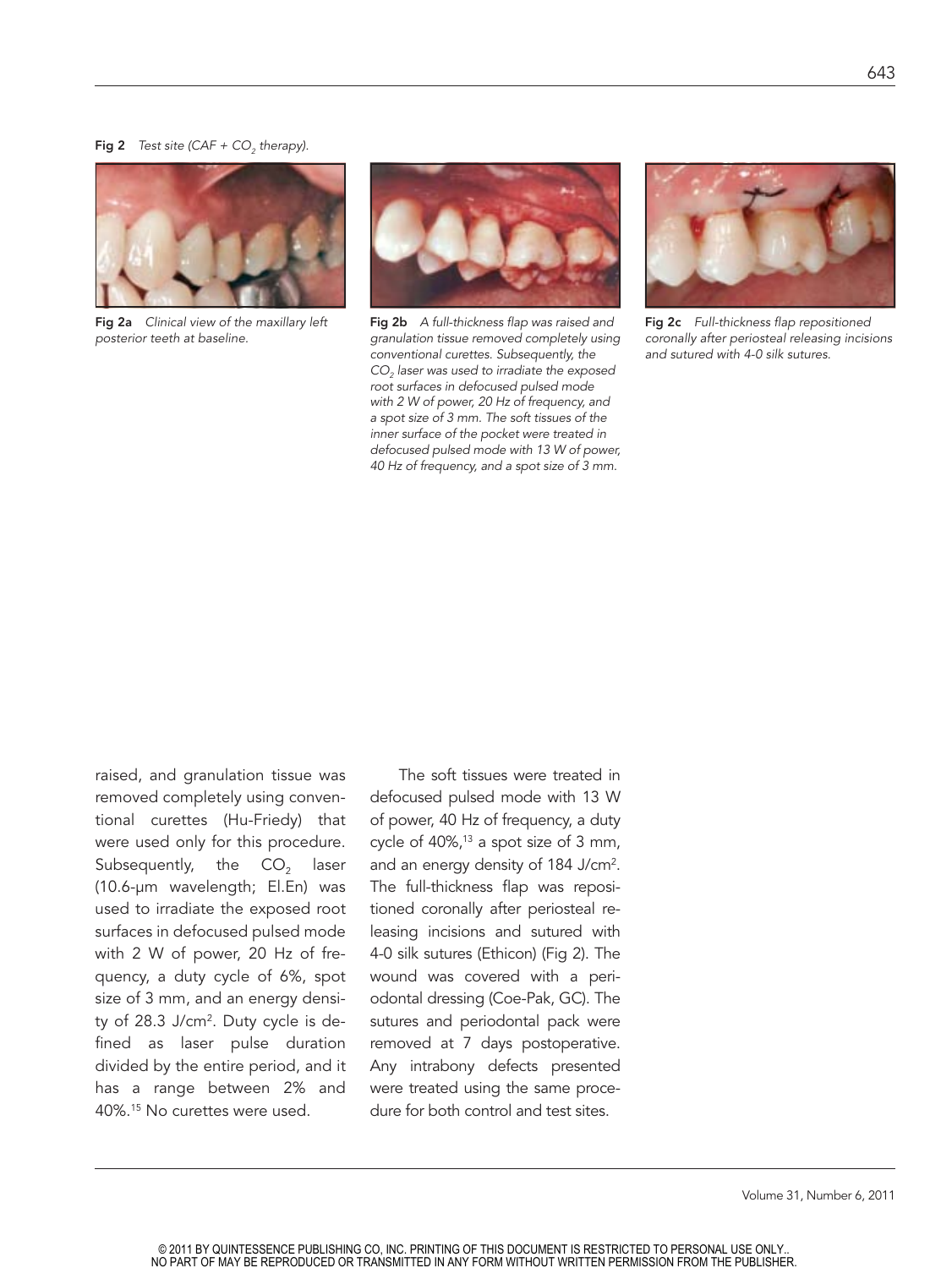#### **Fig 2** *Test site (CAF + CO<sub>2</sub> therapy).*



Fig 2a *Clinical view of the maxillary left posterior teeth at baseline.* 



Fig 2b *A full-thickness flap was raised and granulation tissue removed completely using conventional curettes. Subsequently, the CO2 laser was used to irradiate the exposed root surfaces in defocused pulsed mode with 2 W of power, 20 Hz of frequency, and a spot size of 3 mm. The soft tissues of the inner surface of the pocket were treated in defocused pulsed mode with 13 W of power, 40 Hz of frequency, and a spot size of 3 mm.*



Fig 2c *Full-thickness flap repositioned coronally after periosteal releasing incisions and sutured with 4-0 silk sutures.*

raised, and granulation tissue was removed completely using conventional curettes (Hu-Friedy) that were used only for this procedure. Subsequently, the  $CO<sub>2</sub>$  laser (10.6-µm wavelength; El.En) was used to irradiate the exposed root surfaces in defocused pulsed mode with 2 W of power, 20 Hz of frequency, a duty cycle of 6%, spot size of 3 mm, and an energy density of 28.3 J/cm2. Duty cycle is defined as laser pulse duration divided by the entire period, and it has a range between 2% and 40%.15 No curettes were used.

The soft tissues were treated in defocused pulsed mode with 13 W of power, 40 Hz of frequency, a duty cycle of 40%,<sup>13</sup> a spot size of 3 mm, and an energy density of 184 J/cm2. The full-thickness flap was repositioned coronally after periosteal releasing incisions and sutured with 4-0 silk sutures (Ethicon) (Fig 2). The wound was covered with a periodontal dressing (Coe-Pak, GC). The sutures and periodontal pack were removed at 7 days postoperative. Any intrabony defects presented were treated using the same procedure for both control and test sites.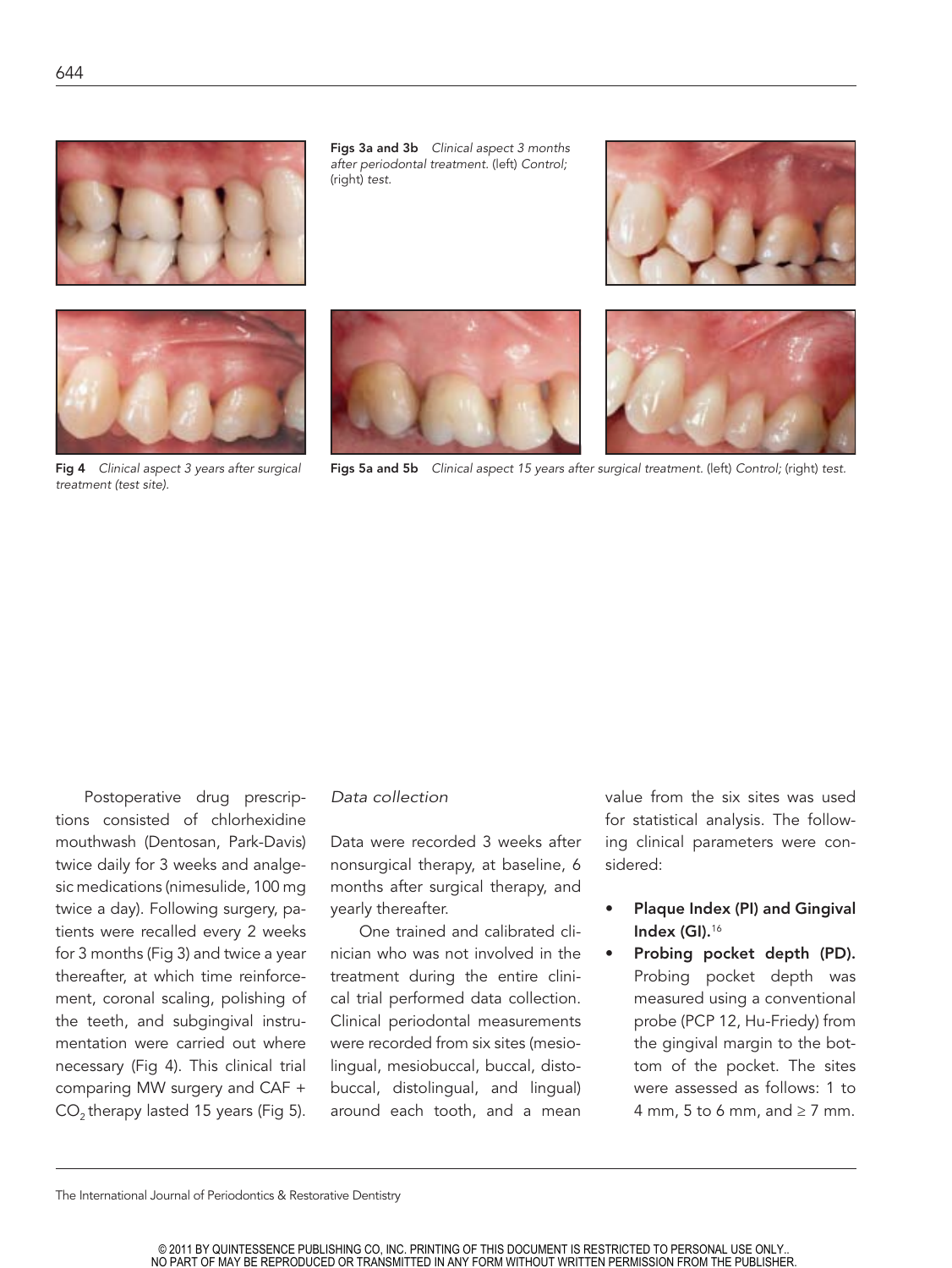

Figs 3a and 3b *Clinical aspect 3 months after periodontal treatment.* (left) *Control;*  (right) *test.*





Fig 4 *Clinical aspect 3 years after surgical treatment (test site).* 





Figs 5a and 5b *Clinical aspect 15 years after surgical treatment.* (left) *Control;* (right) *test.*

Postoperative drug prescriptions consisted of chlorhexidine mouthwash (Dentosan, Park-Davis) twice daily for 3 weeks and analgesic medications (nimesulide, 100 mg twice a day). Following surgery, patients were recalled every 2 weeks for 3 months (Fig 3) and twice a year thereafter, at which time reinforcement, coronal scaling, polishing of the teeth, and subgingival instrumentation were carried out where necessary (Fig 4). This clinical trial comparing MW surgery and CAF +  $CO<sub>2</sub>$  therapy lasted 15 years (Fig 5).

#### *Data collection*

Data were recorded 3 weeks after nonsurgical therapy, at baseline, 6 months after surgical therapy, and yearly thereafter.

One trained and calibrated clinician who was not involved in the treatment during the entire clinical trial performed data collection. Clinical periodontal measurements were recorded from six sites (mesiolingual, mesiobuccal, buccal, distobuccal, distolingual, and lingual) around each tooth, and a mean

value from the six sites was used for statistical analysis. The following clinical parameters were considered:

- Plaque Index (PI) and Gingival Index (GI).<sup>16</sup>
- Probing pocket depth (PD). Probing pocket depth was measured using a conventional probe (PCP 12, Hu-Friedy) from the gingival margin to the bottom of the pocket. The sites were assessed as follows: 1 to 4 mm, 5 to 6 mm, and  $\geq$  7 mm.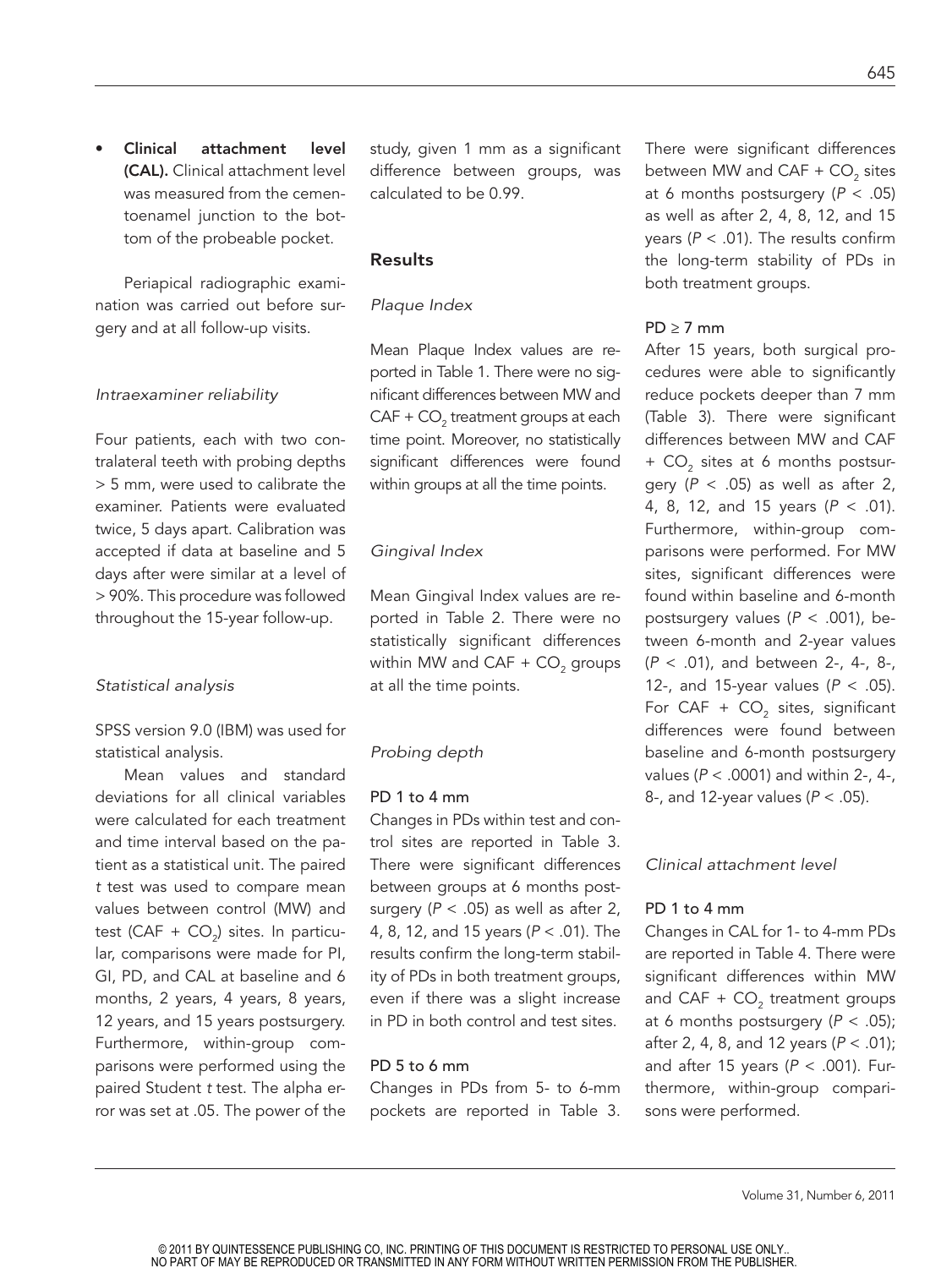Clinical attachment level (CAL). Clinical attachment level was measured from the cementoenamel junction to the bottom of the probeable pocket.

Periapical radiographic examination was carried out before surgery and at all follow-up visits.

### *Intraexaminer reliability*

Four patients, each with two contralateral teeth with probing depths > 5 mm, were used to calibrate the examiner. Patients were evaluated twice, 5 days apart. Calibration was accepted if data at baseline and 5 days after were similar at a level of > 90%. This procedure was followed throughout the 15-year follow-up.

### *Statistical analysis*

SPSS version 9.0 (IBM) was used for statistical analysis.

Mean values and standard deviations for all clinical variables were calculated for each treatment and time interval based on the patient as a statistical unit. The paired *t* test was used to compare mean values between control (MW) and test (CAF + CO<sub>2</sub>) sites. In particular, comparisons were made for PI, GI, PD, and CAL at baseline and 6 months, 2 years, 4 years, 8 years, 12 years, and 15 years postsurgery. Furthermore, within-group comparisons were performed using the paired Student *t* test. The alpha error was set at .05. The power of the

study, given 1 mm as a significant difference between groups, was calculated to be 0.99.

## Results

## *Plaque Index*

Mean Plaque Index values are reported in Table 1. There were no significant differences between MW and  $CAF + CO<sub>2</sub>$  treatment groups at each time point. Moreover, no statistically significant differences were found within groups at all the time points.

## *Gingival Index*

Mean Gingival Index values are reported in Table 2. There were no statistically significant differences within MW and CAF +  $CO<sub>2</sub>$  groups at all the time points.

# *Probing depth*

## PD 1 to 4 mm

Changes in PDs within test and control sites are reported in Table 3. There were significant differences between groups at 6 months postsurgery (*P* < .05) as well as after 2, 4, 8, 12, and 15 years (*P* < .01). The results confirm the long-term stability of PDs in both treatment groups, even if there was a slight increase in PD in both control and test sites.

## PD 5 to 6 mm

Changes in PDs from 5- to 6-mm pockets are reported in Table 3.

There were significant differences between MW and CAF +  $CO<sub>2</sub>$  sites at 6 months postsurgery (*P* < .05) as well as after 2, 4, 8, 12, and 15 years (*P* < .01). The results confirm the long-term stability of PDs in both treatment groups.

# $PD \geq 7$  mm

After 15 years, both surgical procedures were able to significantly reduce pockets deeper than 7 mm (Table 3). There were significant differences between MW and CAF +  $CO<sub>2</sub>$  sites at 6 months postsurgery (*P* < .05) as well as after 2, 4, 8, 12, and 15 years (*P* < .01). Furthermore, within-group comparisons were performed. For MW sites, significant differences were found within baseline and 6-month postsurgery values (*P* < .001), between 6-month and 2-year values (*P* < .01), and between 2-, 4-, 8-, 12-, and 15-year values (*P* < .05). For CAF +  $CO<sub>2</sub>$  sites, significant differences were found between baseline and 6-month postsurgery values (*P* < .0001) and within 2-, 4-, 8-, and 12-year values (*P* < .05).

## *Clinical attachment level*

## PD 1 to 4 mm

Changes in CAL for 1- to 4-mm PDs are reported in Table 4. There were significant differences within MW and CAF +  $CO<sub>2</sub>$  treatment groups at 6 months postsurgery (*P* < .05); after 2, 4, 8, and 12 years (*P* < .01); and after 15 years (*P* < .001). Furthermore, within-group comparisons were performed.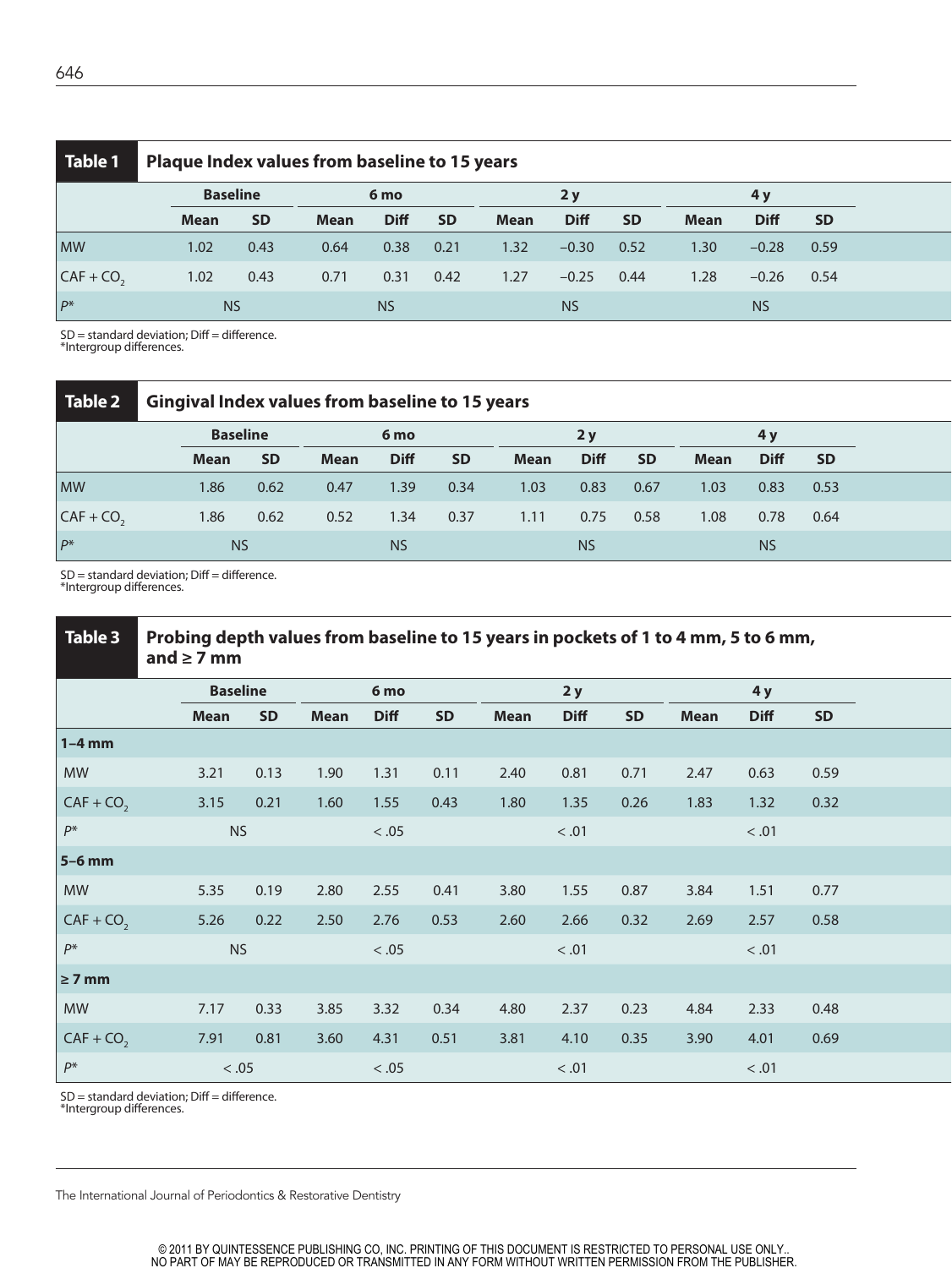| Table 1     | Plaque Index values from baseline to 15 years |           |             |                 |           |             |             |           |             |             |           |  |
|-------------|-----------------------------------------------|-----------|-------------|-----------------|-----------|-------------|-------------|-----------|-------------|-------------|-----------|--|
|             | <b>Baseline</b>                               |           |             | 6 <sub>mo</sub> |           |             | 2y          |           |             | 4v          |           |  |
|             | Mean                                          | <b>SD</b> | <b>Mean</b> | <b>Diff</b>     | <b>SD</b> | <b>Mean</b> | <b>Diff</b> | <b>SD</b> | <b>Mean</b> | <b>Diff</b> | <b>SD</b> |  |
| <b>MW</b>   | 1.02                                          | 0.43      | 0.64        | 0.38            | 0.21      | 1.32        | $-0.30$     | 0.52      | 1.30        | $-0.28$     | 0.59      |  |
| $CAF + CO2$ | 1.02                                          | 0.43      | 0.71        | 0.31            | 0.42      | 1.27        | $-0.25$     | 0.44      | 1.28        | $-0.26$     | 0.54      |  |
| $P^*$       | <b>NS</b>                                     |           |             | <b>NS</b>       |           |             | <b>NS</b>   |           |             | <b>NS</b>   |           |  |

SD = standard deviation; Diff = difference. \*Intergroup differences.

| $\mid$ Table 2 $\mid$ | <b>Gingival Index values from baseline to 15 years</b> |                 |           |           |                 |           |             |             |           |             |             |           |  |
|-----------------------|--------------------------------------------------------|-----------------|-----------|-----------|-----------------|-----------|-------------|-------------|-----------|-------------|-------------|-----------|--|
|                       |                                                        | <b>Baseline</b> |           |           | 6 <sub>mo</sub> |           |             | 2y          |           |             | 4v          |           |  |
|                       | <b>Mean</b>                                            |                 | <b>SD</b> | Mean      | <b>Diff</b>     | <b>SD</b> | <b>Mean</b> | <b>Diff</b> | <b>SD</b> | <b>Mean</b> | <b>Diff</b> | <b>SD</b> |  |
| <b>MW</b>             | 1.86                                                   |                 | 0.62      | 0.47      | 1.39            | 0.34      | 1.03        | 0.83        | 0.67      | 1.03        | 0.83        | 0.53      |  |
| $CAF + CO$            | 1.86                                                   |                 | 0.62      | 0.52      | 1.34            | 0.37      | 1.11        | 0.75        | 0.58      | 1.08        | 0.78        | 0.64      |  |
| $\mathsf{P}^*$        |                                                        | <b>NS</b>       |           | <b>NS</b> |                 |           | <b>NS</b>   |             |           |             | <b>NS</b>   |           |  |

SD = standard deviation; Diff = difference. \*Intergroup differences.

| Table 3     | and $\geq 7$ mm |                 |      |             |             |           | Probing depth values from baseline to 15 years in pockets of 1 to 4 mm, 5 to 6 mm, |             |      |        |             |      |  |
|-------------|-----------------|-----------------|------|-------------|-------------|-----------|------------------------------------------------------------------------------------|-------------|------|--------|-------------|------|--|
|             |                 | <b>Baseline</b> |      |             | 6 mo        |           |                                                                                    | 2y          |      |        | 4y          |      |  |
|             |                 | <b>Mean</b>     | SD   | <b>Mean</b> | <b>Diff</b> | <b>SD</b> | Mean                                                                               | <b>Diff</b> | SD   | Mean   | <b>Diff</b> | SD   |  |
| $1-4$ mm    |                 |                 |      |             |             |           |                                                                                    |             |      |        |             |      |  |
| <b>MW</b>   |                 | 3.21            | 0.13 | 1.90        | 1.31        | 0.11      | 2.40                                                                               | 0.81        | 0.71 | 2.47   | 0.63        | 0.59 |  |
| $CAF + CO2$ |                 | 3.15            | 0.21 | 1.60        | 1.55        | 0.43      | 1.80                                                                               | 1.35        | 0.26 | 1.83   | 1.32        | 0.32 |  |
| $P^*$       |                 | <b>NS</b>       |      | $< .05$     |             |           |                                                                                    | $<.01$      |      | < 0.01 |             |      |  |
| $5-6$ mm    |                 |                 |      |             |             |           |                                                                                    |             |      |        |             |      |  |
| <b>MW</b>   |                 | 5.35            | 0.19 | 2.80        | 2.55        | 0.41      | 3.80                                                                               | 1.55        | 0.87 | 3.84   | 1.51        | 0.77 |  |
| $CAF + CO$  |                 | 5.26            | 0.22 | 2.50        | 2.76        | 0.53      | 2.60                                                                               | 2.66        | 0.32 | 2.69   | 2.57        | 0.58 |  |
| $P^*$       |                 | <b>NS</b>       |      |             | $< .05$     |           | < 0.01                                                                             |             |      |        | < 0.01      |      |  |
| $\geq 7$ mm |                 |                 |      |             |             |           |                                                                                    |             |      |        |             |      |  |
| <b>MW</b>   |                 | 7.17            | 0.33 | 3.85        | 3.32        | 0.34      | 4.80                                                                               | 2.37        | 0.23 | 4.84   | 2.33        | 0.48 |  |
| $CAF + CO2$ |                 | 7.91            | 0.81 | 3.60        | 4.31        | 0.51      | 3.81                                                                               | 4.10        | 0.35 | 3.90   | 4.01        | 0.69 |  |
| $P^*$       |                 | $<.05$          |      |             | $< .05$     |           |                                                                                    | < 0.01      |      |        | < 0.01      |      |  |

SD = standard deviation; Diff = difference. \*Intergroup differences.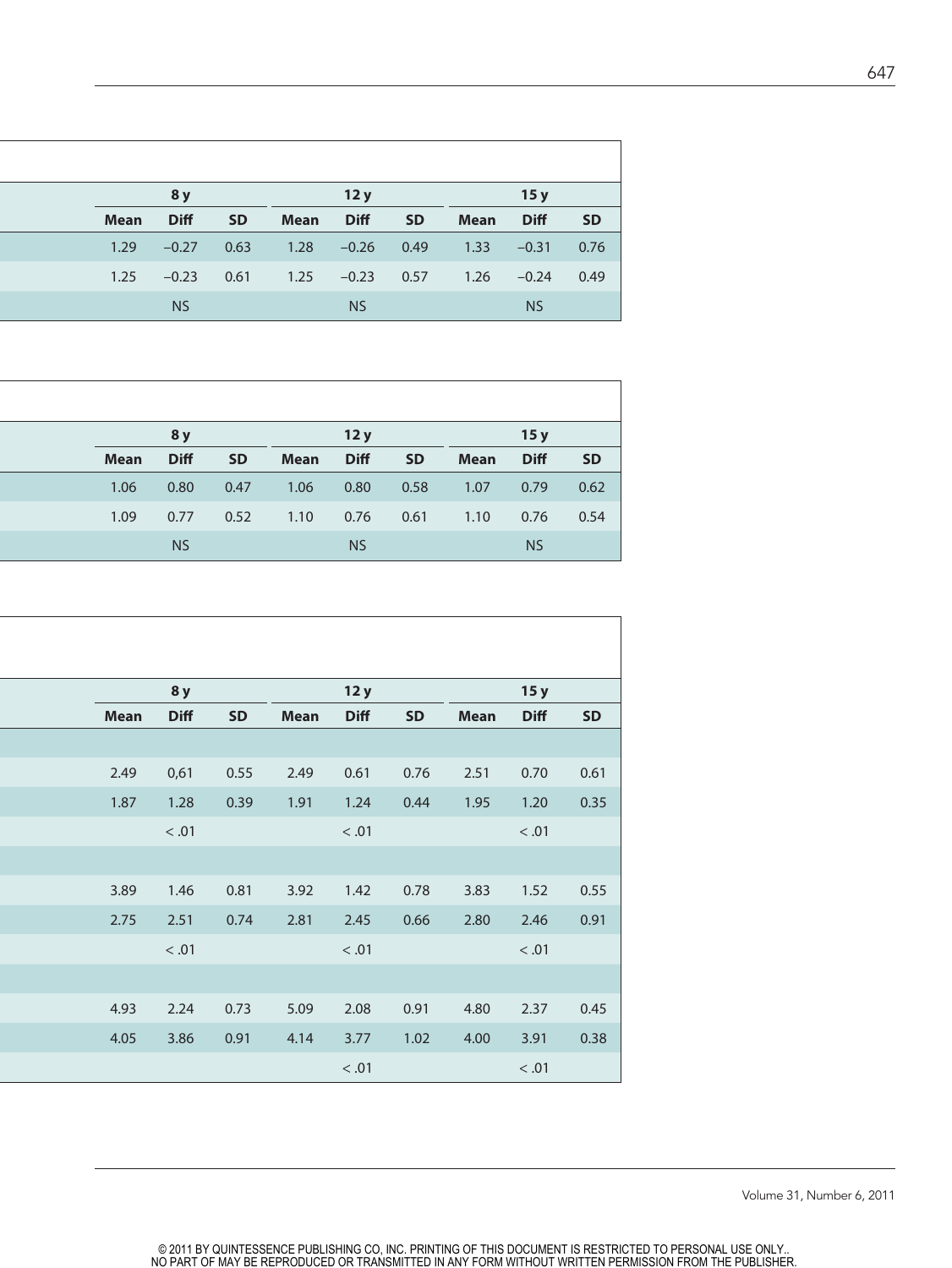| 15y<br>12y<br><b>Diff</b><br>Diff<br>SD<br><b>Mean</b><br>Mean<br><b>SD</b><br>$-0.31$<br>1.33<br>1.28<br>$-0.26$<br>0.49<br>0.76<br>$-0.24$<br>0.57<br>1.26<br>1.25<br>0.49<br>$-0.23$ |      |                     |  |
|-----------------------------------------------------------------------------------------------------------------------------------------------------------------------------------------|------|---------------------|--|
|                                                                                                                                                                                         |      |                     |  |
|                                                                                                                                                                                         |      | 8y                  |  |
|                                                                                                                                                                                         | SD   | <b>Diff</b><br>Mean |  |
|                                                                                                                                                                                         | 0.63 | $-0.27$<br>1.29     |  |
|                                                                                                                                                                                         |      | $-0.23$<br>1.25     |  |
| <b>NS</b><br><b>NS</b>                                                                                                                                                                  | 0.61 |                     |  |

÷

| 12y<br>15y                                                    |      | 8 y         |      |
|---------------------------------------------------------------|------|-------------|------|
| <b>Diff</b><br><b>Diff</b><br><b>Mean</b><br>SD<br>Mean<br>SD | SD   | <b>Diff</b> | Mean |
| 0.79<br>0.58<br>1.07<br>0.62<br>1.06<br>0.80                  | 0.47 | 0.80        | 1.06 |
| 0.76<br>0.76<br>0.61<br>0.54<br>1.10<br>1.10                  | 0.52 | 0.77        | 1.09 |
| <b>NS</b><br><b>NS</b>                                        |      | <b>NS</b>   |      |

| 12y<br>15y<br>8 y                                                                    |  |  |  |  |  |  |      |
|--------------------------------------------------------------------------------------|--|--|--|--|--|--|------|
| <b>Diff</b><br><b>Diff</b><br><b>Diff</b><br>SD<br>SD<br><b>Mean</b><br>Mean<br>Mean |  |  |  |  |  |  | SD   |
|                                                                                      |  |  |  |  |  |  |      |
| 0.55<br>0.76<br>0.70<br>2.49<br>0,61<br>2.49<br>0.61<br>2.51                         |  |  |  |  |  |  | 0.61 |
| 1.87<br>1.28<br>0.39<br>1.20<br>1.91<br>1.24<br>0.44<br>1.95                         |  |  |  |  |  |  | 0.35 |
| < 0.01<br>< 0.01<br>< 0.01                                                           |  |  |  |  |  |  |      |
|                                                                                      |  |  |  |  |  |  |      |
| 1.52<br>3.89<br>1.46<br>0.81<br>3.92<br>1.42<br>0.78<br>3.83                         |  |  |  |  |  |  | 0.55 |
| 2.75<br>2.46<br>2.51<br>0.74<br>2.81<br>2.45<br>2.80<br>0.66                         |  |  |  |  |  |  | 0.91 |
| < 0.01<br>< 0.01<br>< 0.01                                                           |  |  |  |  |  |  |      |
|                                                                                      |  |  |  |  |  |  |      |
| 2.37<br>2.24<br>0.73<br>5.09<br>2.08<br>0.91<br>4.80<br>4.93                         |  |  |  |  |  |  | 0.45 |
| 3.91<br>3.86<br>4.00<br>0.91<br>4.14<br>3.77<br>1.02<br>4.05                         |  |  |  |  |  |  | 0.38 |
| < 0.01<br>< 0.01                                                                     |  |  |  |  |  |  |      |

Volume 31, Number 6, 2011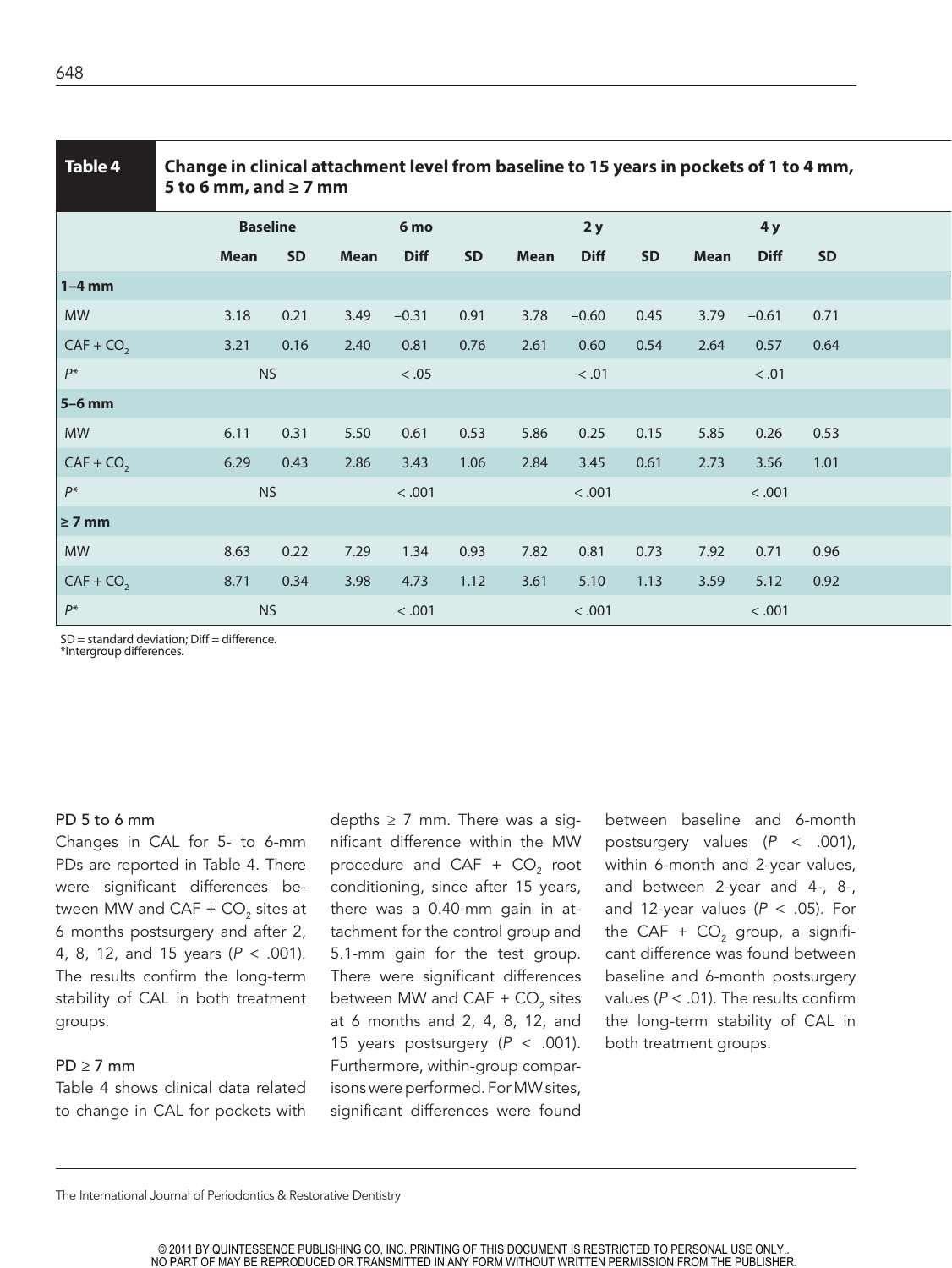| Table 4     | Change in clinical attachment level from baseline to 15 years in pockets of 1 to 4 mm,<br>5 to 6 mm, and $\geq$ 7 mm |                 |           |             |             |        |             |             |           |        |             |           |  |
|-------------|----------------------------------------------------------------------------------------------------------------------|-----------------|-----------|-------------|-------------|--------|-------------|-------------|-----------|--------|-------------|-----------|--|
|             |                                                                                                                      | <b>Baseline</b> |           |             | 6 mo        |        |             | 2y          |           |        | 4y          |           |  |
|             | Mean                                                                                                                 |                 | <b>SD</b> | <b>Mean</b> | <b>Diff</b> | SD     | <b>Mean</b> | <b>Diff</b> | <b>SD</b> | Mean   | <b>Diff</b> | <b>SD</b> |  |
| $1-4$ mm    |                                                                                                                      |                 |           |             |             |        |             |             |           |        |             |           |  |
| <b>MW</b>   | 3.18                                                                                                                 |                 | 0.21      | 3.49        | $-0.31$     | 0.91   | 3.78        | $-0.60$     | 0.45      | 3.79   | $-0.61$     | 0.71      |  |
| $CAF + CO2$ | 3.21                                                                                                                 |                 | 0.16      | 2.40        | 0.81        | 0.76   | 2.61        | 0.60        | 0.54      | 2.64   | 0.57        | 0.64      |  |
| $P^*$       | <b>NS</b>                                                                                                            |                 |           | $<.05$      |             | $<.01$ |             |             |           | < 0.01 |             |           |  |
| $5-6$ mm    |                                                                                                                      |                 |           |             |             |        |             |             |           |        |             |           |  |
| <b>MW</b>   | 6.11                                                                                                                 |                 | 0.31      | 5.50        | 0.61        | 0.53   | 5.86        | 0.25        | 0.15      | 5.85   | 0.26        | 0.53      |  |
| $CAF + CO2$ | 6.29                                                                                                                 |                 | 0.43      | 2.86        | 3.43        | 1.06   | 2.84        | 3.45        | 0.61      | 2.73   | 3.56        | 1.01      |  |
| $P^*$       |                                                                                                                      | <b>NS</b>       |           |             | < .001      |        |             | < .001      |           |        | < .001      |           |  |
| $\geq 7$ mm |                                                                                                                      |                 |           |             |             |        |             |             |           |        |             |           |  |
| <b>MW</b>   | 8.63                                                                                                                 |                 | 0.22      | 7.29        | 1.34        | 0.93   | 7.82        | 0.81        | 0.73      | 7.92   | 0.71        | 0.96      |  |
| $CAF + CO2$ | 8.71                                                                                                                 |                 | 0.34      | 3.98        | 4.73        | 1.12   | 3.61        | 5.10        | 1.13      | 3.59   | 5.12        | 0.92      |  |
| $P^*$       |                                                                                                                      | <b>NS</b>       |           |             | < .001      |        |             | < .001      |           |        | < .001      |           |  |

 $SD =$  standard deviation;  $Diff =$  difference. \*Intergroup differences.

### PD 5 to 6 mm

Changes in CAL for 5- to 6-mm PDs are reported in Table 4. There were significant differences between MW and CAF +  $CO<sub>2</sub>$  sites at 6 months postsurgery and after 2, 4, 8, 12, and 15 years (*P* < .001). The results confirm the long-term stability of CAL in both treatment groups.

### $PD \geq 7$  mm

Table 4 shows clinical data related to change in CAL for pockets with depths  $\geq$  7 mm. There was a significant difference within the MW procedure and  $CAF + CO<sub>2</sub>$  root conditioning, since after 15 years, there was a 0.40-mm gain in attachment for the control group and 5.1-mm gain for the test group. There were significant differences between MW and CAF +  $CO<sub>2</sub>$  sites at 6 months and 2, 4, 8, 12, and 15 years postsurgery (*P* < .001). Furthermore, within-group comparisons were performed. For MW sites, significant differences were found

between baseline and 6-month postsurgery values (*P* < .001), within 6-month and 2-year values, and between 2-year and 4-, 8-, and 12-year values  $(P < .05)$ . For the CAF + CO<sub>2</sub> group, a significant difference was found between baseline and 6-month postsurgery values (*P* < .01). The results confirm the long-term stability of CAL in both treatment groups.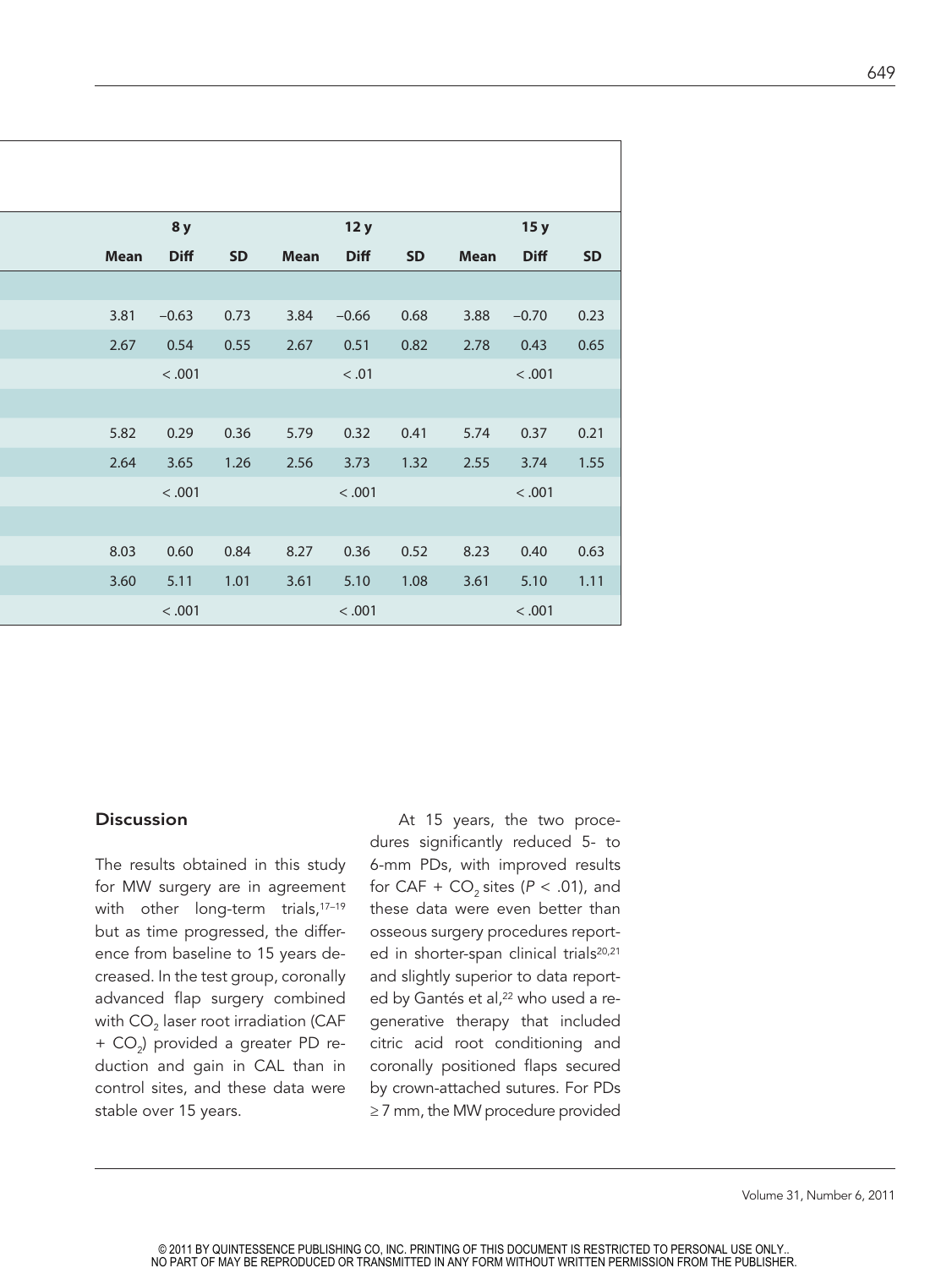| 15y                              |      |      | 12 y        |             |      | 8 y         |      |  |
|----------------------------------|------|------|-------------|-------------|------|-------------|------|--|
| <b>Diff</b><br><b>Mean</b><br>SD |      | SD   | <b>Diff</b> | <b>Mean</b> | SD   | <b>Diff</b> | Mean |  |
|                                  |      |      |             |             |      |             |      |  |
| $-0.70$<br>0.23                  | 3.88 | 0.68 | $-0.66$     | 3.84        | 0.73 | $-0.63$     | 3.81 |  |
| 0.43<br>0.65                     | 2.78 | 0.82 | 0.51        | 2.67        | 0.55 | 0.54        | 2.67 |  |
| < .001                           |      |      | $<.01$      |             |      | < .001      |      |  |
|                                  |      |      |             |             |      |             |      |  |
| 0.37<br>0.21                     | 5.74 | 0.41 | 0.32        | 5.79        | 0.36 | 0.29        | 5.82 |  |
| 3.74<br>1.55                     | 2.55 | 1.32 | 3.73        | 2.56        | 1.26 | 3.65        | 2.64 |  |
| < .001                           |      |      | $<.001$     |             |      | $<.001$     |      |  |
|                                  |      |      |             |             |      |             |      |  |
| 0.40<br>0.63                     | 8.23 | 0.52 | 0.36        | 8.27        | 0.84 | 0.60        | 8.03 |  |
| 5.10<br>1.11                     | 3.61 | 1.08 | 5.10        | 3.61        | 1.01 | 5.11        | 3.60 |  |
| < .001                           |      |      | $<.001$     |             |      | < .001      |      |  |

### **Discussion**

The results obtained in this study for MW surgery are in agreement with other long-term trials,<sup>17-19</sup> but as time progressed, the difference from baseline to 15 years decreased. In the test group, coronally advanced flap surgery combined with  $CO<sub>2</sub>$  laser root irradiation (CAF + CO<sub>2</sub>) provided a greater PD reduction and gain in CAL than in control sites, and these data were stable over 15 years.

At 15 years, the two procedures significantly reduced 5- to 6-mm PDs, with improved results for CAF + CO<sub>2</sub> sites ( $P < .01$ ), and these data were even better than osseous surgery procedures reported in shorter-span clinical trials<sup>20,21</sup> and slightly superior to data reported by Gantés et al,<sup>22</sup> who used a regenerative therapy that included citric acid root conditioning and coronally positioned flaps secured by crown-attached sutures. For PDs ≥ 7 mm, the MW procedure provided

© 2011 BY QUINTESSENCE PUBLISHING CO, INC. PRINTING OF THIS DOCUMENT IS RESTRICTED TO PERSONAL USE ONLY.. NO PART OF MAY BE REPRODUCED OR TRANSMITTED IN ANY FORM WITHOUT WRITTEN PERMISSION FROM THE PUBLISHER.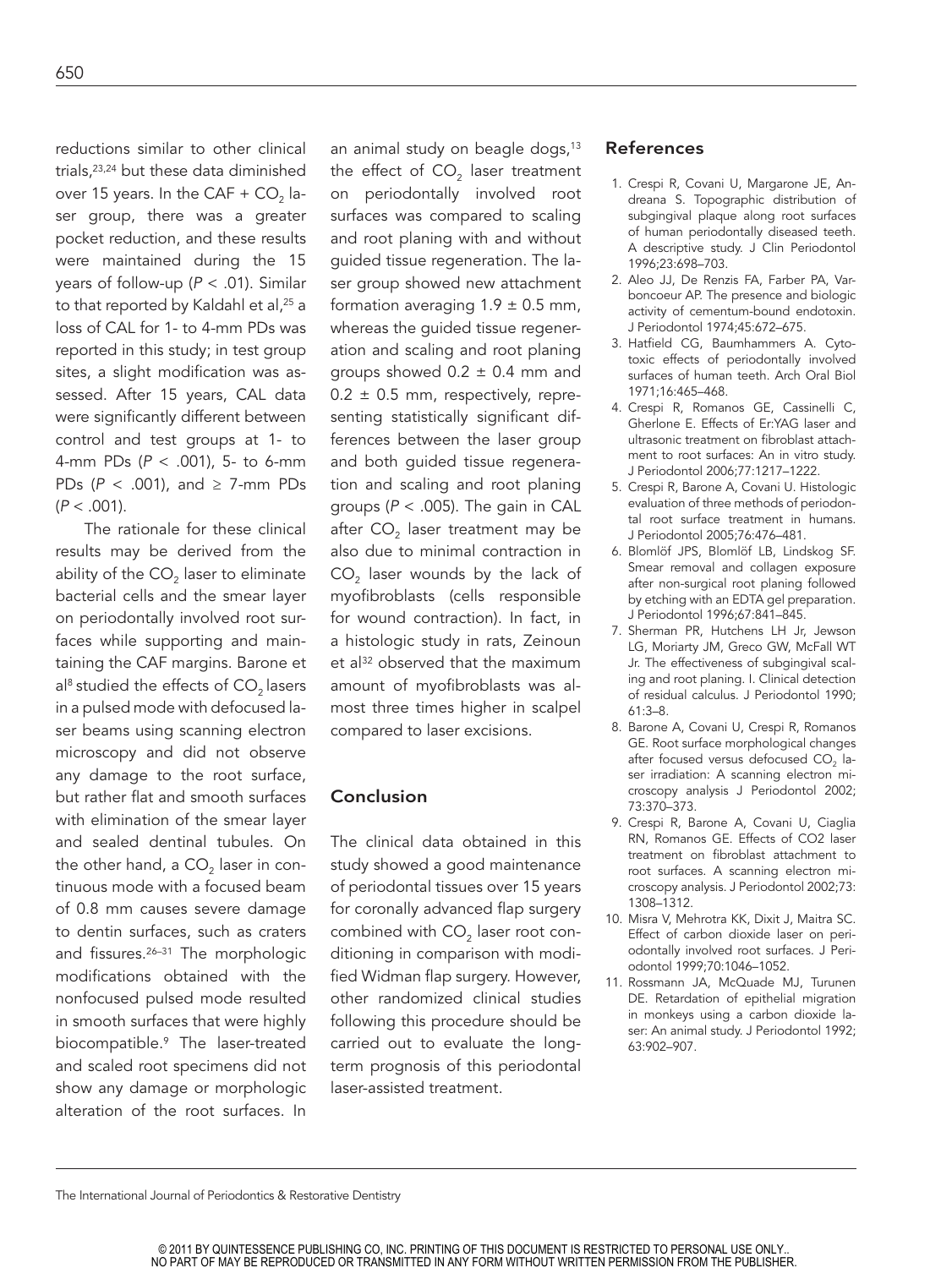reductions similar to other clinical trials,23,24 but these data diminished over 15 years. In the CAF +  $CO<sub>2</sub>$  laser group, there was a greater pocket reduction, and these results were maintained during the 15 years of follow-up (*P* < .01). Similar to that reported by Kaldahl et al,<sup>25</sup> a loss of CAL for 1- to 4-mm PDs was reported in this study; in test group sites, a slight modification was assessed. After 15 years, CAL data were significantly different between control and test groups at 1- to 4-mm PDs (*P* < .001), 5- to 6-mm PDs (*P* < .001), and ≥ 7-mm PDs  $(P < .001)$ .

The rationale for these clinical results may be derived from the ability of the  $CO<sub>2</sub>$  laser to eliminate bacterial cells and the smear layer on periodontally involved root surfaces while supporting and maintaining the CAF margins. Barone et  $a^{8}$  studied the effects of  $CO<sub>2</sub>$  lasers in a pulsed mode with defocused laser beams using scanning electron microscopy and did not observe any damage to the root surface, but rather flat and smooth surfaces with elimination of the smear layer and sealed dentinal tubules. On the other hand, a  $CO<sub>2</sub>$  laser in continuous mode with a focused beam of 0.8 mm causes severe damage to dentin surfaces, such as craters and fissures.26–31 The morphologic modifications obtained with the nonfocused pulsed mode resulted in smooth surfaces that were highly biocompatible.9 The laser-treated and scaled root specimens did not show any damage or morphologic alteration of the root surfaces. In

an animal study on beagle dogs,13 the effect of  $CO<sub>2</sub>$  laser treatment on periodontally involved root surfaces was compared to scaling and root planing with and without guided tissue regeneration. The laser group showed new attachment formation averaging  $1.9 \pm 0.5$  mm, whereas the guided tissue regeneration and scaling and root planing groups showed  $0.2 \pm 0.4$  mm and  $0.2 \pm 0.5$  mm, respectively, representing statistically significant differences between the laser group and both guided tissue regeneration and scaling and root planing groups (*P* < .005). The gain in CAL after  $CO<sub>2</sub>$  laser treatment may be also due to minimal contraction in  $CO<sub>2</sub>$  laser wounds by the lack of myofibroblasts (cells responsible for wound contraction). In fact, in a histologic study in rats, Zeinoun et al<sup>32</sup> observed that the maximum amount of myofibroblasts was almost three times higher in scalpel compared to laser excisions.

### Conclusion

The clinical data obtained in this study showed a good maintenance of periodontal tissues over 15 years for coronally advanced flap surgery combined with  $CO<sub>2</sub>$  laser root conditioning in comparison with modified Widman flap surgery. However, other randomized clinical studies following this procedure should be carried out to evaluate the longterm prognosis of this periodontal laser-assisted treatment.

### References

- 1. Crespi R, Covani U, Margarone JE, Andreana S. Topographic distribution of subgingival plaque along root surfaces of human periodontally diseased teeth. A descriptive study. J Clin Periodontol 1996;23:698–703.
- 2. Aleo JJ, De Renzis FA, Farber PA, Varboncoeur AP. The presence and biologic activity of cementum-bound endotoxin. J Periodontol 1974;45:672–675.
- 3. Hatfield CG, Baumhammers A. Cytotoxic effects of periodontally involved surfaces of human teeth. Arch Oral Biol 1971;16:465–468.
- 4. Crespi R, Romanos GE, Cassinelli C, Gherlone E. Effects of Er:YAG laser and ultrasonic treatment on fibroblast attachment to root surfaces: An in vitro study. J Periodontol 2006;77:1217–1222.
- 5. Crespi R, Barone A, Covani U. Histologic evaluation of three methods of periodontal root surface treatment in humans. J Periodontol 2005;76:476–481.
- 6. Blomlöf JPS, Blomlöf LB, Lindskog SF. Smear removal and collagen exposure after non-surgical root planing followed by etching with an EDTA gel preparation. J Periodontol 1996;67:841–845.
- 7. Sherman PR, Hutchens LH Jr, Jewson LG, Moriarty JM, Greco GW, McFall WT Jr. The effectiveness of subgingival scaling and root planing. I. Clinical detection of residual calculus. J Periodontol 1990; 61:3–8.
- 8. Barone A, Covani U, Crespi R, Romanos GE. Root surface morphological changes after focused versus defocused  $CO<sub>2</sub>$  laser irradiation: A scanning electron microscopy analysis J Periodontol 2002; 73:370–373.
- 9. Crespi R, Barone A, Covani U, Ciaglia RN, Romanos GE. Effects of CO2 laser treatment on fibroblast attachment to root surfaces. A scanning electron microscopy analysis. J Periodontol 2002;73: 1308–1312.
- 10. Misra V, Mehrotra KK, Dixit J, Maitra SC. Effect of carbon dioxide laser on periodontally involved root surfaces. J Periodontol 1999;70:1046–1052.
- 11. Rossmann JA, McQuade MJ, Turunen DE. Retardation of epithelial migration in monkeys using a carbon dioxide laser: An animal study. J Periodontol 1992; 63:902–907.